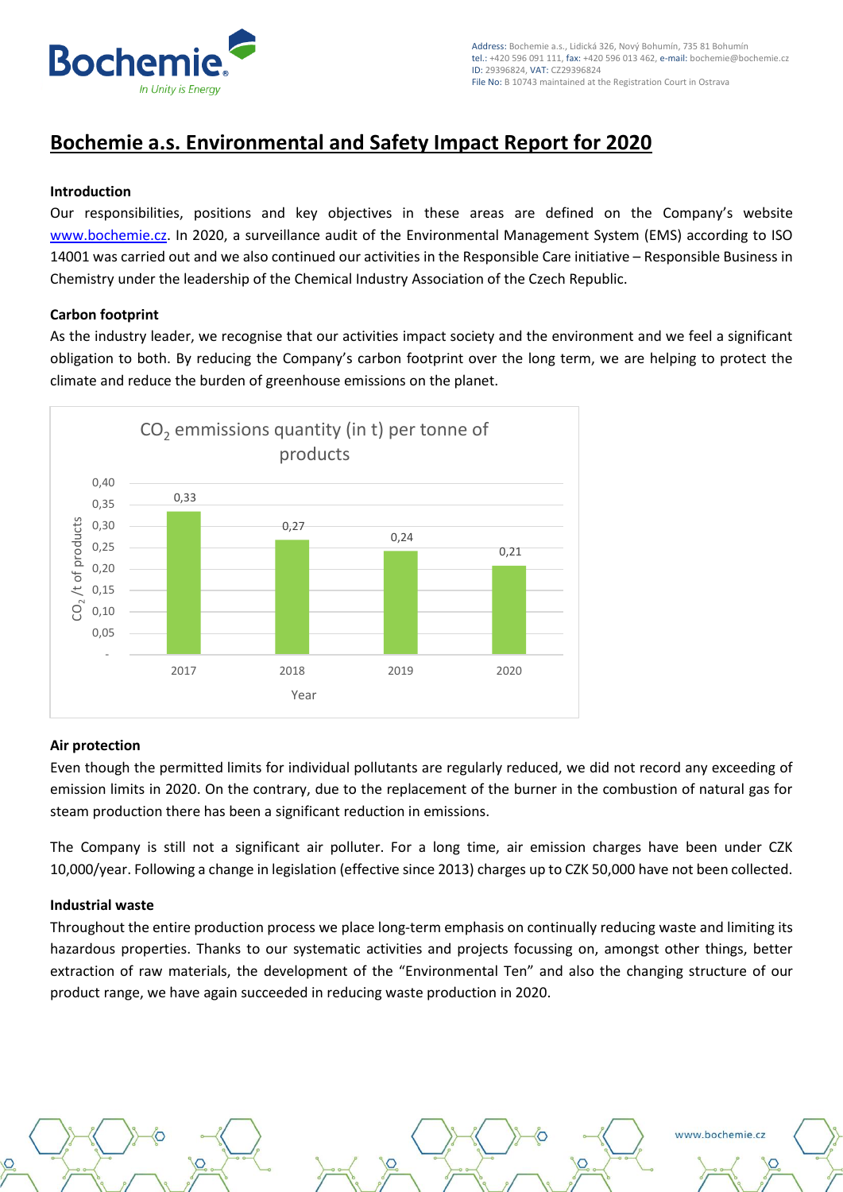

www.bochemie.cz

# **Bochemie a.s. Environmental and Safety Impact Report for 2020**

# **Introduction**

Our responsibilities, positions and key objectives in these areas are defined on the Company's website [www.bochemie.cz.](http://www.bochemie.cz/) In 2020, a surveillance audit of the Environmental Management System (EMS) according to ISO 14001 was carried out and we also continued our activities in the Responsible Care initiative – Responsible Business in Chemistry under the leadership of the Chemical Industry Association of the Czech Republic.

## **Carbon footprint**

As the industry leader, we recognise that our activities impact society and the environment and we feel a significant obligation to both. By reducing the Company's carbon footprint over the long term, we are helping to protect the climate and reduce the burden of greenhouse emissions on the planet.



#### **Air protection**

Even though the permitted limits for individual pollutants are regularly reduced, we did not record any exceeding of emission limits in 2020. On the contrary, due to the replacement of the burner in the combustion of natural gas for steam production there has been a significant reduction in emissions.

The Company is still not a significant air polluter. For a long time, air emission charges have been under CZK 10,000/year. Following a change in legislation (effective since 2013) charges up to CZK 50,000 have not been collected.

#### **Industrial waste**

Throughout the entire production process we place long-term emphasis on continually reducing waste and limiting its hazardous properties. Thanks to our systematic activities and projects focussing on, amongst other things, better extraction of raw materials, the development of the "Environmental Ten" and also the changing structure of our product range, we have again succeeded in reducing waste production in 2020.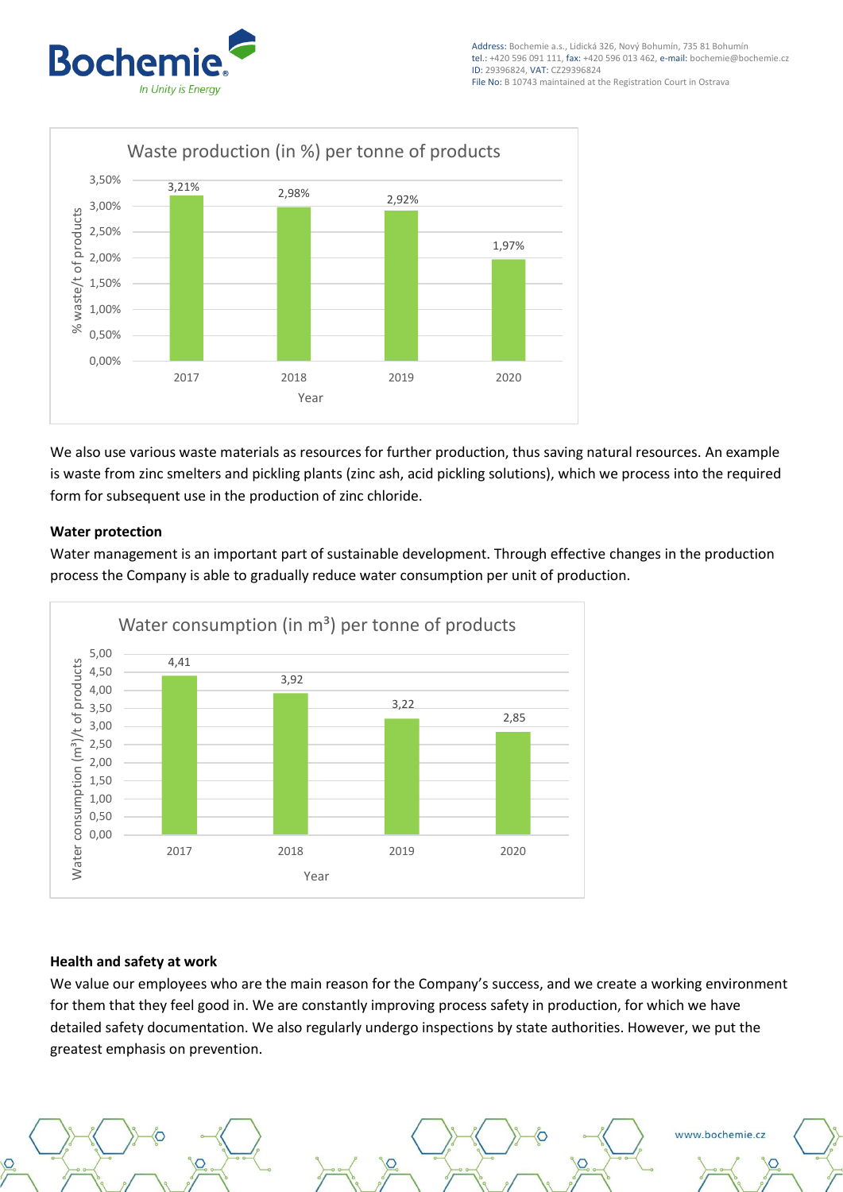



We also use various waste materials as resources for further production, thus saving natural resources. An example is waste from zinc smelters and pickling plants (zinc ash, acid pickling solutions), which we process into the required form for subsequent use in the production of zinc chloride.

# **Water protection**

Water management is an important part of sustainable development. Through effective changes in the production process the Company is able to gradually reduce water consumption per unit of production.



#### **Health and safety at work**

We value our employees who are the main reason for the Company's success, and we create a working environment for them that they feel good in. We are constantly improving process safety in production, for which we have detailed safety documentation. We also regularly undergo inspections by state authorities. However, we put the greatest emphasis on prevention.



www.bochemie.cz